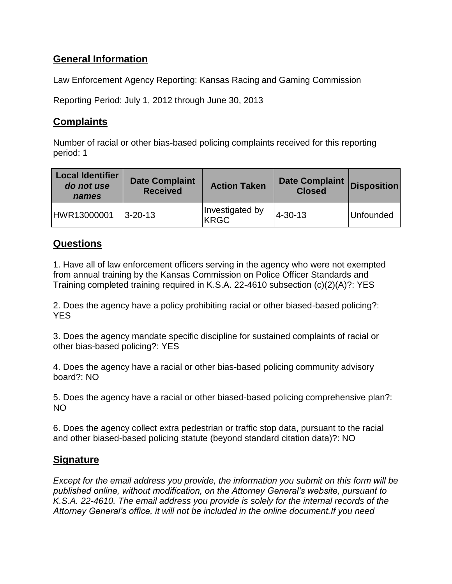## **General Information**

Law Enforcement Agency Reporting: Kansas Racing and Gaming Commission

Reporting Period: July 1, 2012 through June 30, 2013

## **Complaints**

Number of racial or other bias-based policing complaints received for this reporting period: 1

| <b>Local Identifier</b><br>do not use<br>names | <b>Date Complaint</b><br><b>Received</b> | <b>Action Taken</b>            | <b>Date Complaint</b><br><b>Closed</b> | <b>Disposition</b> |
|------------------------------------------------|------------------------------------------|--------------------------------|----------------------------------------|--------------------|
| HWR13000001                                    | $ 3 - 20 - 13 $                          | Investigated by<br><b>KRGC</b> | 4-30-13                                | <b>Unfounded</b>   |

## **Questions**

1. Have all of law enforcement officers serving in the agency who were not exempted from annual training by the Kansas Commission on Police Officer Standards and Training completed training required in K.S.A. 22-4610 subsection (c)(2)(A)?: YES

2. Does the agency have a policy prohibiting racial or other biased-based policing?: YES

3. Does the agency mandate specific discipline for sustained complaints of racial or other bias-based policing?: YES

4. Does the agency have a racial or other bias-based policing community advisory board?: NO

5. Does the agency have a racial or other biased-based policing comprehensive plan?: NO

6. Does the agency collect extra pedestrian or traffic stop data, pursuant to the racial and other biased-based policing statute (beyond standard citation data)?: NO

## **Signature**

*Except for the email address you provide, the information you submit on this form will be published online, without modification, on the Attorney General's website, pursuant to K.S.A. 22-4610. The email address you provide is solely for the internal records of the Attorney General's office, it will not be included in the online document.If you need*